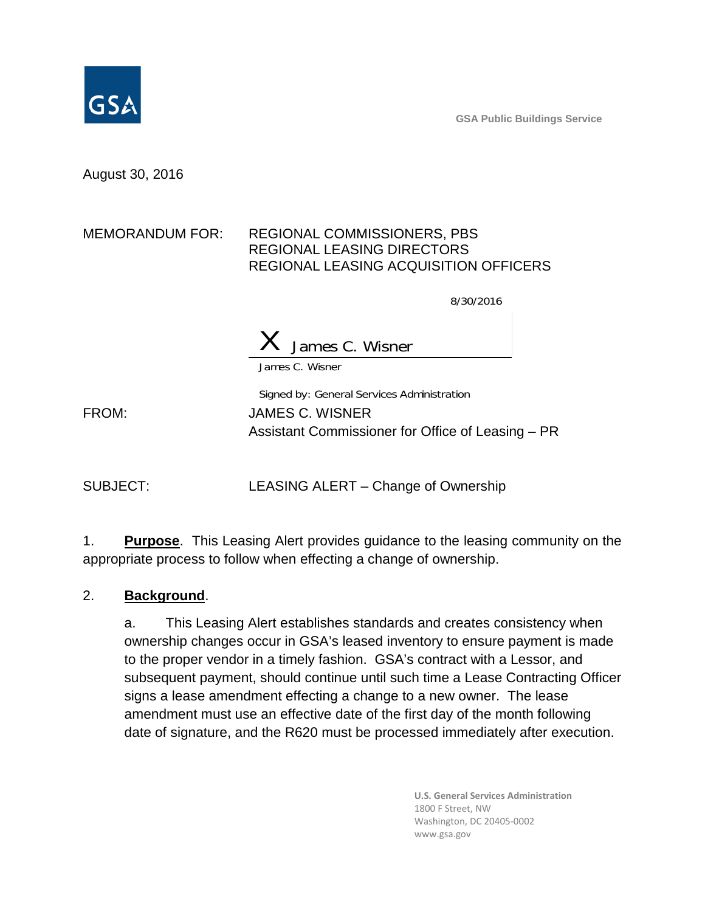**GSA Public Buildings Service**



August 30, 2016

## MEMORANDUM FOR: REGIONAL COMMISSIONERS, PBS REGIONAL LEASING DIRECTORS REGIONAL LEASING ACQUISITION OFFICERS

8/30/2016

James C. Wisner

James C. Wisner

Signed by: General Services Administration FROM: JAMES C. WISNER Assistant Commissioner for Office of Leasing – PR

SUBJECT: LEASING ALERT – Change of Ownership

1. **Purpose**. This Leasing Alert provides guidance to the leasing community on the appropriate process to follow when effecting a change of ownership.

## 2. **Background**.

a. This Leasing Alert establishes standards and creates consistency when ownership changes occur in GSA's leased inventory to ensure payment is made to the proper vendor in a timely fashion. GSA's contract with a Lessor, and subsequent payment, should continue until such time a Lease Contracting Officer signs a lease amendment effecting a change to a new owner. The lease amendment must use an effective date of the first day of the month following date of signature, and the R620 must be processed immediately after execution.

> **U.S. General Services Administration** 1800 F Street, NW Washington, DC 20405-0002 www.gsa.gov